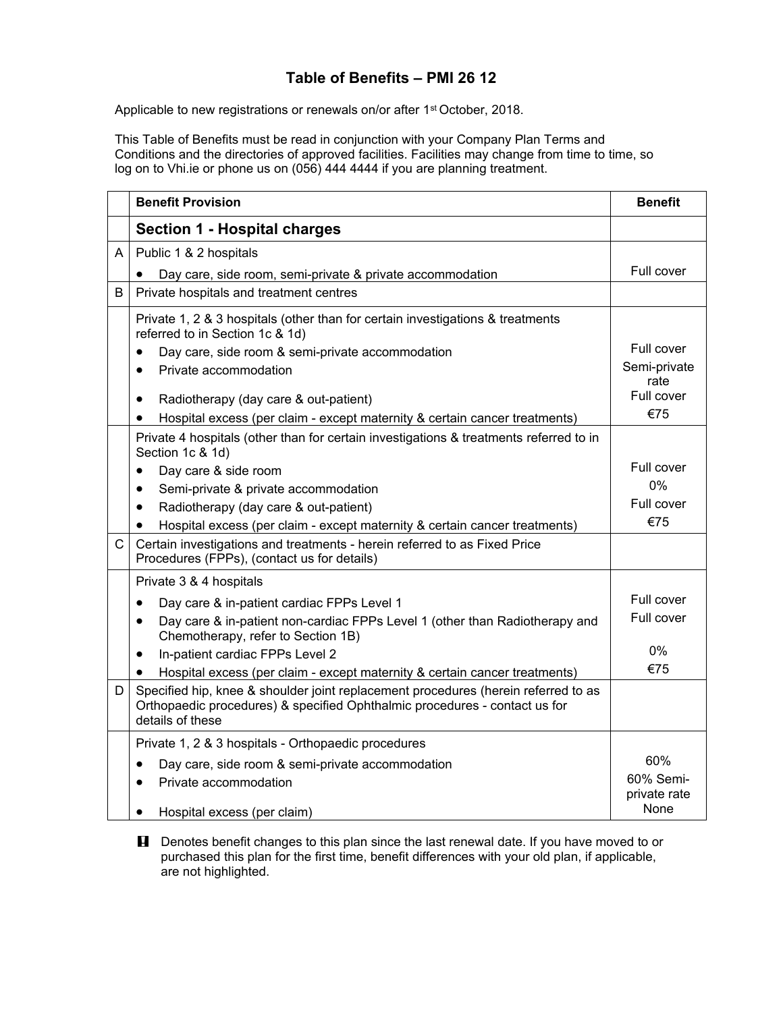## **Table of Benefits – PMI 26 12**

Applicable to new registrations or renewals on/or after 1<sup>st</sup> October, 2018.

This Table of Benefits must be read in conjunction with your Company Plan Terms and Conditions and the directories of approved facilities. Facilities may change from time to time, so log on to Vhi.ie or phone us on (056) 444 4444 if you are planning treatment.

|              | <b>Benefit Provision</b>                                                                                                                                                             | <b>Benefit</b>            |
|--------------|--------------------------------------------------------------------------------------------------------------------------------------------------------------------------------------|---------------------------|
|              | <b>Section 1 - Hospital charges</b>                                                                                                                                                  |                           |
| A            | Public 1 & 2 hospitals                                                                                                                                                               |                           |
|              | Day care, side room, semi-private & private accommodation                                                                                                                            | Full cover                |
| B            | Private hospitals and treatment centres                                                                                                                                              |                           |
|              | Private 1, 2 & 3 hospitals (other than for certain investigations & treatments<br>referred to in Section 1c & 1d)<br>Day care, side room & semi-private accommodation                | Full cover                |
|              | Private accommodation                                                                                                                                                                | Semi-private<br>rate      |
|              | Radiotherapy (day care & out-patient)<br>$\bullet$<br>Hospital excess (per claim - except maternity & certain cancer treatments)<br>$\bullet$                                        | Full cover<br>€75         |
|              | Private 4 hospitals (other than for certain investigations & treatments referred to in<br>Section 1c & 1d)                                                                           |                           |
|              | Day care & side room<br>$\bullet$                                                                                                                                                    | Full cover                |
|              | Semi-private & private accommodation<br>$\bullet$                                                                                                                                    | 0%                        |
|              | Radiotherapy (day care & out-patient)<br>$\bullet$                                                                                                                                   | Full cover                |
|              | Hospital excess (per claim - except maternity & certain cancer treatments)<br>$\bullet$                                                                                              | €75                       |
| $\mathsf{C}$ | Certain investigations and treatments - herein referred to as Fixed Price<br>Procedures (FPPs), (contact us for details)                                                             |                           |
|              | Private 3 & 4 hospitals                                                                                                                                                              |                           |
|              | Day care & in-patient cardiac FPPs Level 1<br>$\bullet$                                                                                                                              | Full cover                |
|              | Day care & in-patient non-cardiac FPPs Level 1 (other than Radiotherapy and<br>$\bullet$<br>Chemotherapy, refer to Section 1B)                                                       | Full cover                |
|              | In-patient cardiac FPPs Level 2<br>$\bullet$                                                                                                                                         | $0\%$                     |
|              | Hospital excess (per claim - except maternity & certain cancer treatments)                                                                                                           | €75                       |
| D            | Specified hip, knee & shoulder joint replacement procedures (herein referred to as<br>Orthopaedic procedures) & specified Ophthalmic procedures - contact us for<br>details of these |                           |
|              | Private 1, 2 & 3 hospitals - Orthopaedic procedures                                                                                                                                  |                           |
|              | Day care, side room & semi-private accommodation<br>٠                                                                                                                                | 60%                       |
|              | Private accommodation                                                                                                                                                                | 60% Semi-<br>private rate |
|              | Hospital excess (per claim)<br>$\bullet$                                                                                                                                             | None                      |

**H** Denotes benefit changes to this plan since the last renewal date. If you have moved to or purchased this plan for the first time, benefit differences with your old plan, if applicable, are not highlighted.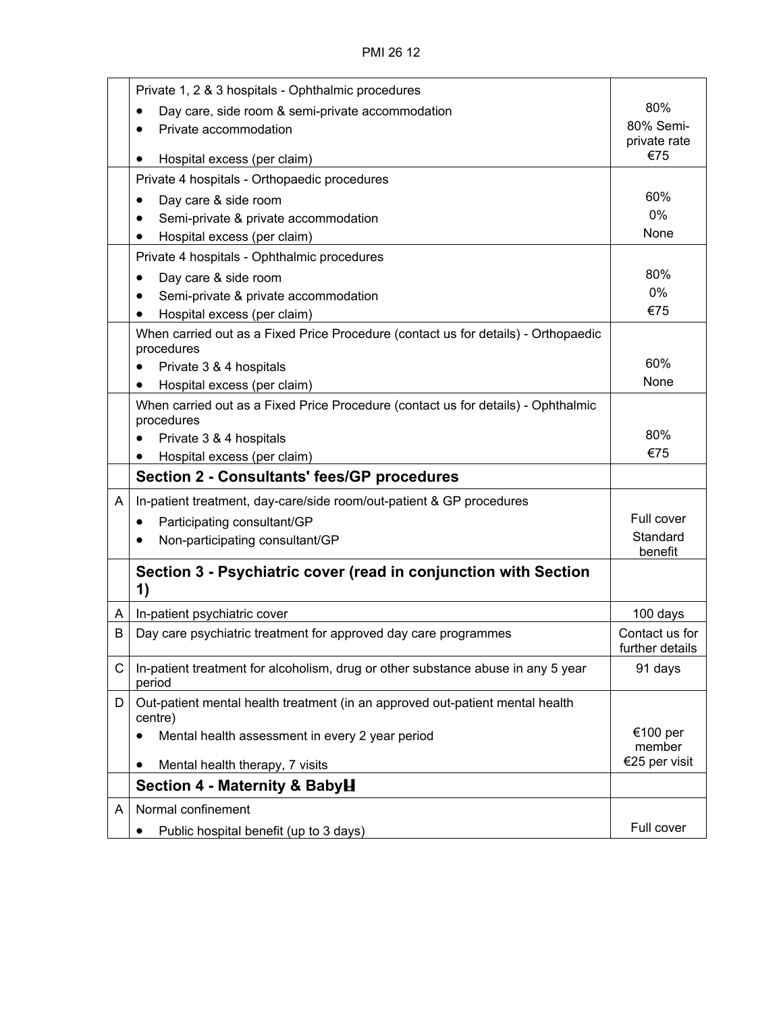|   | Private 1, 2 & 3 hospitals - Ophthalmic procedures                                               |                                   |
|---|--------------------------------------------------------------------------------------------------|-----------------------------------|
|   | Day care, side room & semi-private accommodation                                                 | 80%                               |
|   | Private accommodation                                                                            | 80% Semi-<br>private rate         |
|   | Hospital excess (per claim)<br>٠                                                                 | €75                               |
|   | Private 4 hospitals - Orthopaedic procedures                                                     |                                   |
|   | Day care & side room<br>$\bullet$                                                                | 60%                               |
|   | Semi-private & private accommodation                                                             | 0%                                |
|   | Hospital excess (per claim)<br>٠                                                                 | None                              |
|   | Private 4 hospitals - Ophthalmic procedures                                                      |                                   |
|   | Day care & side room                                                                             | 80%                               |
|   | Semi-private & private accommodation                                                             | 0%                                |
|   | Hospital excess (per claim)<br>٠                                                                 | €75                               |
|   | When carried out as a Fixed Price Procedure (contact us for details) - Orthopaedic<br>procedures |                                   |
|   | Private 3 & 4 hospitals                                                                          | 60%                               |
|   | Hospital excess (per claim)<br>٠                                                                 | None                              |
|   | When carried out as a Fixed Price Procedure (contact us for details) - Ophthalmic<br>procedures  |                                   |
|   | Private 3 & 4 hospitals                                                                          | 80%                               |
|   | Hospital excess (per claim)                                                                      | €75                               |
|   | <b>Section 2 - Consultants' fees/GP procedures</b>                                               |                                   |
| A | In-patient treatment, day-care/side room/out-patient & GP procedures                             |                                   |
|   | Participating consultant/GP<br>٠                                                                 | Full cover                        |
|   | Non-participating consultant/GP                                                                  | Standard<br>benefit               |
|   | Section 3 - Psychiatric cover (read in conjunction with Section<br>1)                            |                                   |
| A | In-patient psychiatric cover                                                                     | 100 days                          |
| В | Day care psychiatric treatment for approved day care programmes                                  | Contact us for<br>further details |
| C | In-patient treatment for alcoholism, drug or other substance abuse in any 5 year<br>period       | 91 days                           |
| D | Out-patient mental health treatment (in an approved out-patient mental health<br>centre)         |                                   |
|   | Mental health assessment in every 2 year period                                                  | €100 per<br>member                |
|   | Mental health therapy, 7 visits                                                                  | €25 per visit                     |
|   | Section 4 - Maternity & BabyH                                                                    |                                   |
| A | Normal confinement                                                                               |                                   |
|   | Public hospital benefit (up to 3 days)                                                           | Full cover                        |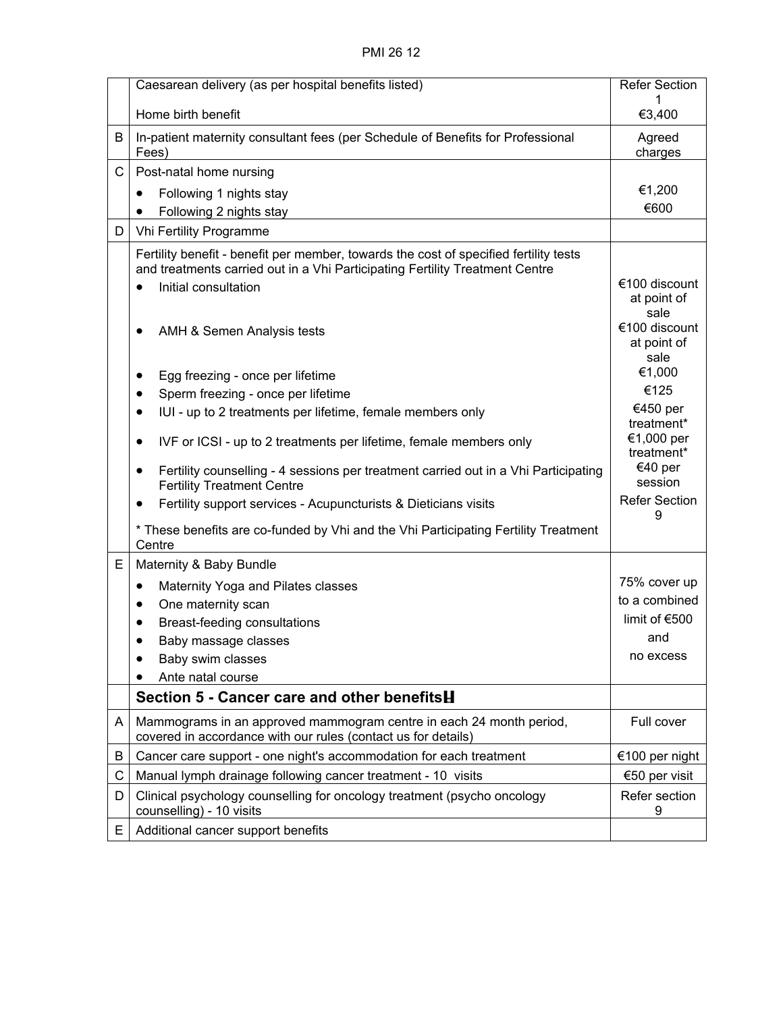|    | Caesarean delivery (as per hospital benefits listed)                                                                                                                                                       | <b>Refer Section</b>                         |
|----|------------------------------------------------------------------------------------------------------------------------------------------------------------------------------------------------------------|----------------------------------------------|
|    | Home birth benefit                                                                                                                                                                                         | €3,400                                       |
| B  | In-patient maternity consultant fees (per Schedule of Benefits for Professional<br>Fees)                                                                                                                   | Agreed<br>charges                            |
| С  | Post-natal home nursing                                                                                                                                                                                    |                                              |
|    | Following 1 nights stay<br>$\bullet$                                                                                                                                                                       | €1,200                                       |
|    | Following 2 nights stay                                                                                                                                                                                    | €600                                         |
| D  | Vhi Fertility Programme                                                                                                                                                                                    |                                              |
|    | Fertility benefit - benefit per member, towards the cost of specified fertility tests<br>and treatments carried out in a Vhi Participating Fertility Treatment Centre<br>Initial consultation<br>$\bullet$ | €100 discount<br>at point of                 |
|    | AMH & Semen Analysis tests                                                                                                                                                                                 | sale<br>€100 discount<br>at point of<br>sale |
|    | Egg freezing - once per lifetime                                                                                                                                                                           | €1,000                                       |
|    | Sperm freezing - once per lifetime                                                                                                                                                                         | €125                                         |
|    | IUI - up to 2 treatments per lifetime, female members only<br>$\bullet$                                                                                                                                    | €450 per<br>treatment*                       |
|    | IVF or ICSI - up to 2 treatments per lifetime, female members only<br>$\bullet$                                                                                                                            | €1,000 per<br>treatment*                     |
|    | Fertility counselling - 4 sessions per treatment carried out in a Vhi Participating<br>٠<br><b>Fertility Treatment Centre</b>                                                                              | €40 per<br>session                           |
|    | Fertility support services - Acupuncturists & Dieticians visits<br>$\bullet$                                                                                                                               | <b>Refer Section</b><br>9                    |
|    | * These benefits are co-funded by Vhi and the Vhi Participating Fertility Treatment<br>Centre                                                                                                              |                                              |
| E  | Maternity & Baby Bundle                                                                                                                                                                                    |                                              |
|    | Maternity Yoga and Pilates classes<br>٠                                                                                                                                                                    | 75% cover up                                 |
|    | One maternity scan                                                                                                                                                                                         | to a combined                                |
|    | Breast-feeding consultations                                                                                                                                                                               | limit of $€500$                              |
|    | Baby massage classes                                                                                                                                                                                       | and<br>no excess                             |
|    | Baby swim classes<br>Ante natal course                                                                                                                                                                     |                                              |
|    | Section 5 - Cancer care and other benefitsH                                                                                                                                                                |                                              |
|    |                                                                                                                                                                                                            | Full cover                                   |
| A  | Mammograms in an approved mammogram centre in each 24 month period,<br>covered in accordance with our rules (contact us for details)                                                                       |                                              |
| B  | Cancer care support - one night's accommodation for each treatment                                                                                                                                         | €100 per night                               |
| С  | Manual lymph drainage following cancer treatment - 10 visits                                                                                                                                               | €50 per visit                                |
| D  | Clinical psychology counselling for oncology treatment (psycho oncology<br>counselling) - 10 visits                                                                                                        | Refer section<br>9                           |
| E. | Additional cancer support benefits                                                                                                                                                                         |                                              |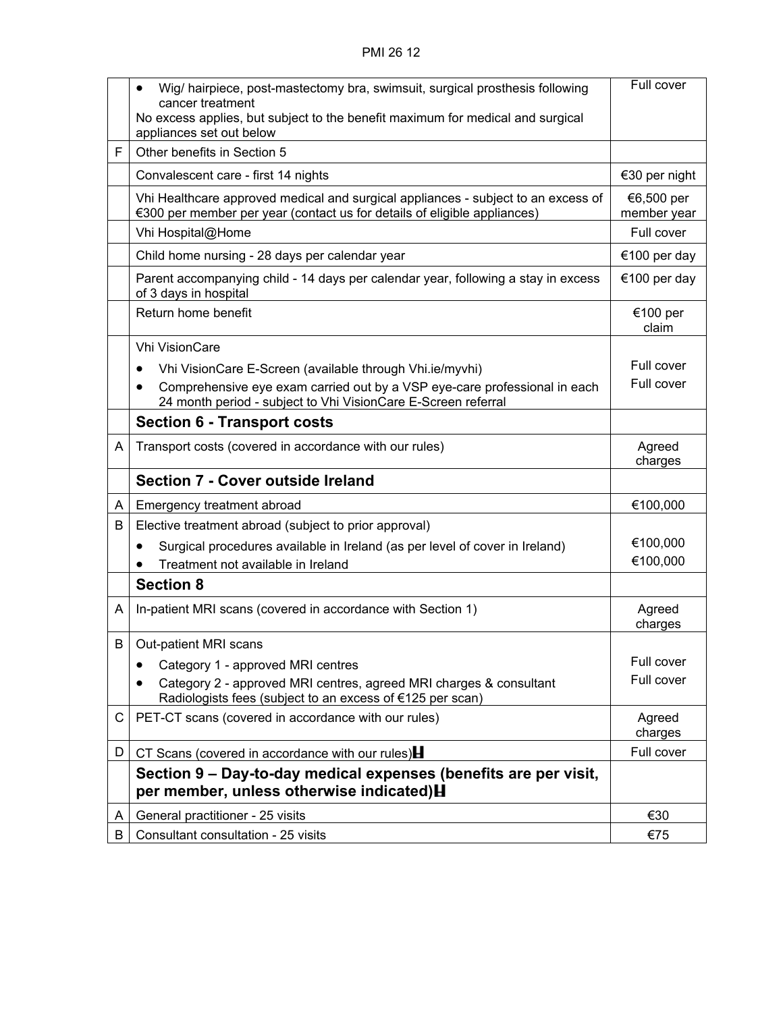|   | Wig/ hairpiece, post-mastectomy bra, swimsuit, surgical prosthesis following<br>$\bullet$                                                                     | Full cover                |
|---|---------------------------------------------------------------------------------------------------------------------------------------------------------------|---------------------------|
|   | cancer treatment<br>No excess applies, but subject to the benefit maximum for medical and surgical                                                            |                           |
|   | appliances set out below                                                                                                                                      |                           |
| F | Other benefits in Section 5                                                                                                                                   |                           |
|   | Convalescent care - first 14 nights                                                                                                                           | €30 per night             |
|   | Vhi Healthcare approved medical and surgical appliances - subject to an excess of<br>€300 per member per year (contact us for details of eligible appliances) | €6,500 per<br>member year |
|   | Vhi Hospital@Home                                                                                                                                             | Full cover                |
|   | Child home nursing - 28 days per calendar year                                                                                                                | €100 per day              |
|   | Parent accompanying child - 14 days per calendar year, following a stay in excess<br>of 3 days in hospital                                                    | €100 per day              |
|   | Return home benefit                                                                                                                                           | €100 per<br>claim         |
|   | <b>Vhi VisionCare</b>                                                                                                                                         |                           |
|   | Vhi VisionCare E-Screen (available through Vhi.ie/myvhi)<br>$\bullet$                                                                                         | Full cover                |
|   | Comprehensive eye exam carried out by a VSP eye-care professional in each<br>$\bullet$<br>24 month period - subject to Vhi VisionCare E-Screen referral       | Full cover                |
|   | <b>Section 6 - Transport costs</b>                                                                                                                            |                           |
| A | Transport costs (covered in accordance with our rules)                                                                                                        | Agreed<br>charges         |
|   | <b>Section 7 - Cover outside Ireland</b>                                                                                                                      |                           |
| A | Emergency treatment abroad                                                                                                                                    | €100,000                  |
| B | Elective treatment abroad (subject to prior approval)                                                                                                         |                           |
|   | Surgical procedures available in Ireland (as per level of cover in Ireland)<br>$\bullet$                                                                      | €100,000                  |
|   | Treatment not available in Ireland                                                                                                                            | €100,000                  |
|   | <b>Section 8</b>                                                                                                                                              |                           |
| A | In-patient MRI scans (covered in accordance with Section 1)                                                                                                   | Agreed<br>charges         |
| B | Out-patient MRI scans                                                                                                                                         |                           |
|   | Category 1 - approved MRI centres                                                                                                                             | Full cover                |
|   | Category 2 - approved MRI centres, agreed MRI charges & consultant<br>Radiologists fees (subject to an excess of €125 per scan)                               | Full cover                |
| C | PET-CT scans (covered in accordance with our rules)                                                                                                           | Agreed<br>charges         |
| D | CT Scans (covered in accordance with our rules) $\blacksquare$                                                                                                | Full cover                |
|   | Section 9 - Day-to-day medical expenses (benefits are per visit,<br>per member, unless otherwise indicated) H                                                 |                           |
| A | General practitioner - 25 visits                                                                                                                              | €30                       |
| В | Consultant consultation - 25 visits                                                                                                                           | €75                       |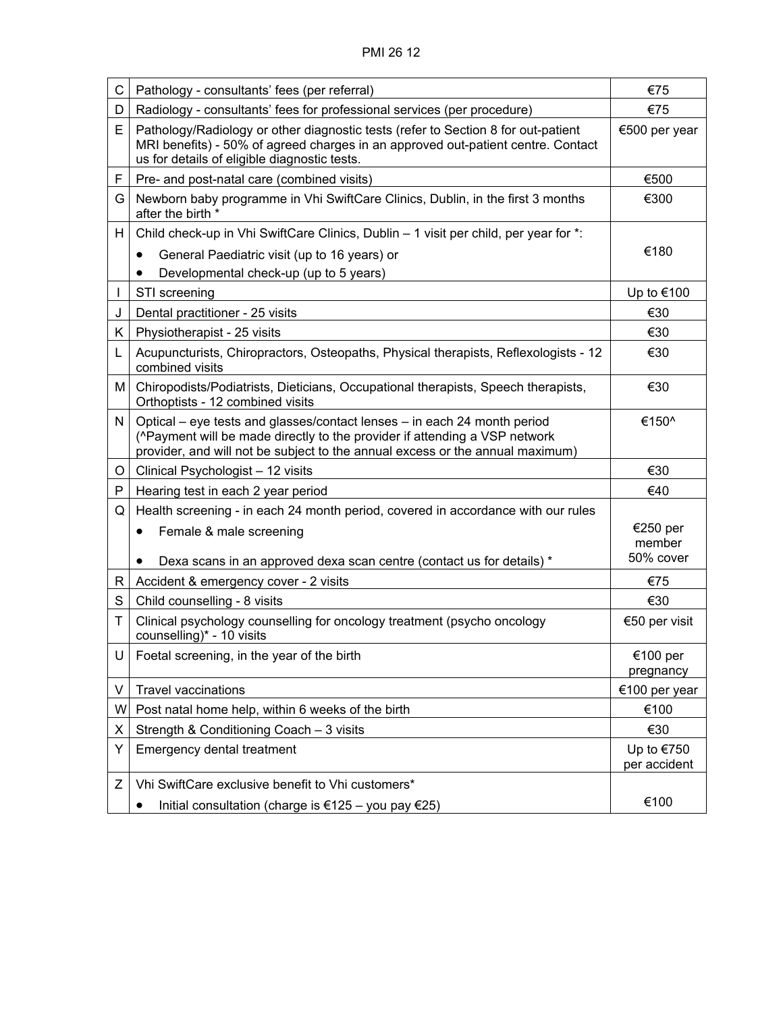| С  | Pathology - consultants' fees (per referral)                                                                                                                                                                                            | €75                          |
|----|-----------------------------------------------------------------------------------------------------------------------------------------------------------------------------------------------------------------------------------------|------------------------------|
| D  | Radiology - consultants' fees for professional services (per procedure)                                                                                                                                                                 | €75                          |
| E  | Pathology/Radiology or other diagnostic tests (refer to Section 8 for out-patient<br>MRI benefits) - 50% of agreed charges in an approved out-patient centre. Contact<br>us for details of eligible diagnostic tests.                   | €500 per year                |
| F  | Pre- and post-natal care (combined visits)                                                                                                                                                                                              | €500                         |
| G  | Newborn baby programme in Vhi SwiftCare Clinics, Dublin, in the first 3 months<br>after the birth *                                                                                                                                     | €300                         |
| H  | Child check-up in Vhi SwiftCare Clinics, Dublin – 1 visit per child, per year for *:                                                                                                                                                    |                              |
|    | General Paediatric visit (up to 16 years) or<br>$\bullet$                                                                                                                                                                               | €180                         |
|    | Developmental check-up (up to 5 years)                                                                                                                                                                                                  |                              |
|    | STI screening                                                                                                                                                                                                                           | Up to €100                   |
| J  | Dental practitioner - 25 visits                                                                                                                                                                                                         | €30                          |
| K. | Physiotherapist - 25 visits                                                                                                                                                                                                             | €30                          |
| L  | Acupuncturists, Chiropractors, Osteopaths, Physical therapists, Reflexologists - 12<br>combined visits                                                                                                                                  | €30                          |
| М  | Chiropodists/Podiatrists, Dieticians, Occupational therapists, Speech therapists,<br>Orthoptists - 12 combined visits                                                                                                                   | €30                          |
| N  | Optical – eye tests and glasses/contact lenses – in each 24 month period<br>(^Payment will be made directly to the provider if attending a VSP network<br>provider, and will not be subject to the annual excess or the annual maximum) | €150^                        |
| O  | Clinical Psychologist - 12 visits                                                                                                                                                                                                       | €30                          |
| P  | Hearing test in each 2 year period                                                                                                                                                                                                      | €40                          |
| Q  | Health screening - in each 24 month period, covered in accordance with our rules                                                                                                                                                        |                              |
|    | Female & male screening<br>$\bullet$                                                                                                                                                                                                    | €250 per<br>member           |
|    | Dexa scans in an approved dexa scan centre (contact us for details) *                                                                                                                                                                   | 50% cover                    |
| R  | Accident & emergency cover - 2 visits                                                                                                                                                                                                   | €75                          |
| S  | Child counselling - 8 visits                                                                                                                                                                                                            | €30                          |
| T  | Clinical psychology counselling for oncology treatment (psycho oncology<br>counselling)* - 10 visits                                                                                                                                    | €50 per visit                |
| U  | Foetal screening, in the year of the birth                                                                                                                                                                                              | €100 per<br>pregnancy        |
| V  | <b>Travel vaccinations</b>                                                                                                                                                                                                              | €100 per year                |
| W  | Post natal home help, within 6 weeks of the birth                                                                                                                                                                                       | €100                         |
| х  | Strength & Conditioning Coach - 3 visits                                                                                                                                                                                                | €30                          |
| Υ  | Emergency dental treatment                                                                                                                                                                                                              | Up to $€750$<br>per accident |
| Ζ  | Vhi SwiftCare exclusive benefit to Vhi customers*                                                                                                                                                                                       |                              |
|    | Initial consultation (charge is €125 - you pay €25)<br>٠                                                                                                                                                                                | €100                         |